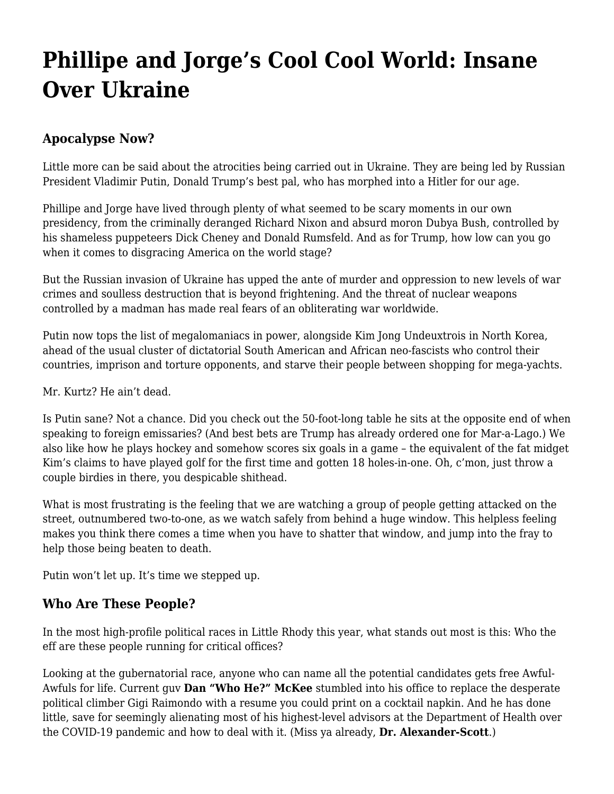## **[Phillipe and Jorge's Cool Cool World: Insane](https://motifri.com/insane-over-ukraine/) [Over Ukraine](https://motifri.com/insane-over-ukraine/)**

## **Apocalypse Now?**

Little more can be said about the atrocities being carried out in Ukraine. They are being led by Russian President Vladimir Putin, Donald Trump's best pal, who has morphed into a Hitler for our age.

Phillipe and Jorge have lived through plenty of what seemed to be scary moments in our own presidency, from the criminally deranged Richard Nixon and absurd moron Dubya Bush, controlled by his shameless puppeteers Dick Cheney and Donald Rumsfeld. And as for Trump, how low can you go when it comes to disgracing America on the world stage?

But the Russian invasion of Ukraine has upped the ante of murder and oppression to new levels of war crimes and soulless destruction that is beyond frightening. And the threat of nuclear weapons controlled by a madman has made real fears of an obliterating war worldwide.

Putin now tops the list of megalomaniacs in power, alongside Kim Jong Undeuxtrois in North Korea, ahead of the usual cluster of dictatorial South American and African neo-fascists who control their countries, imprison and torture opponents, and starve their people between shopping for mega-yachts.

Mr. Kurtz? He ain't dead.

Is Putin sane? Not a chance. Did you check out the 50-foot-long table he sits at the opposite end of when speaking to foreign emissaries? (And best bets are Trump has already ordered one for Mar-a-Lago.) We also like how he plays hockey and somehow scores six goals in a game – the equivalent of the fat midget Kim's claims to have played golf for the first time and gotten 18 holes-in-one. Oh, c'mon, just throw a couple birdies in there, you despicable shithead.

What is most frustrating is the feeling that we are watching a group of people getting attacked on the street, outnumbered two-to-one, as we watch safely from behind a huge window. This helpless feeling makes you think there comes a time when you have to shatter that window, and jump into the fray to help those being beaten to death.

Putin won't let up. It's time we stepped up.

## **Who Are These People?**

In the most high-profile political races in Little Rhody this year, what stands out most is this: Who the eff are these people running for critical offices?

Looking at the gubernatorial race, anyone who can name all the potential candidates gets free Awful-Awfuls for life. Current guv **Dan "Who He?" McKee** stumbled into his office to replace the desperate political climber Gigi Raimondo with a resume you could print on a cocktail napkin. And he has done little, save for seemingly alienating most of his highest-level advisors at the Department of Health over the COVID-19 pandemic and how to deal with it. (Miss ya already, **Dr. Alexander-Scott**.)